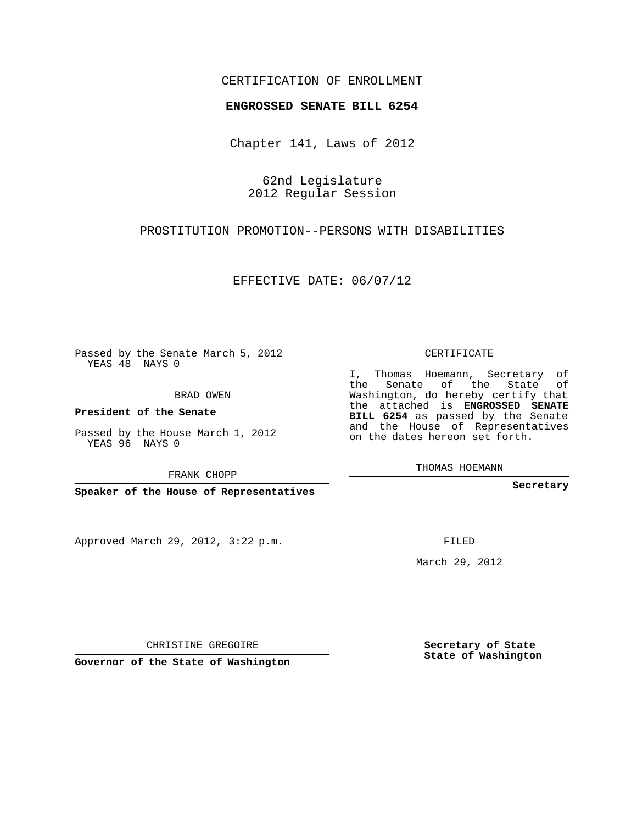## CERTIFICATION OF ENROLLMENT

#### **ENGROSSED SENATE BILL 6254**

Chapter 141, Laws of 2012

62nd Legislature 2012 Regular Session

## PROSTITUTION PROMOTION--PERSONS WITH DISABILITIES

EFFECTIVE DATE: 06/07/12

Passed by the Senate March 5, 2012 YEAS 48 NAYS 0

BRAD OWEN

**President of the Senate**

Passed by the House March 1, 2012 YEAS 96 NAYS 0

FRANK CHOPP

**Speaker of the House of Representatives**

Approved March 29, 2012, 3:22 p.m.

CERTIFICATE

I, Thomas Hoemann, Secretary of the Senate of the State of Washington, do hereby certify that the attached is **ENGROSSED SENATE BILL 6254** as passed by the Senate and the House of Representatives on the dates hereon set forth.

THOMAS HOEMANN

**Secretary**

FILED

March 29, 2012

**Secretary of State State of Washington**

CHRISTINE GREGOIRE

**Governor of the State of Washington**